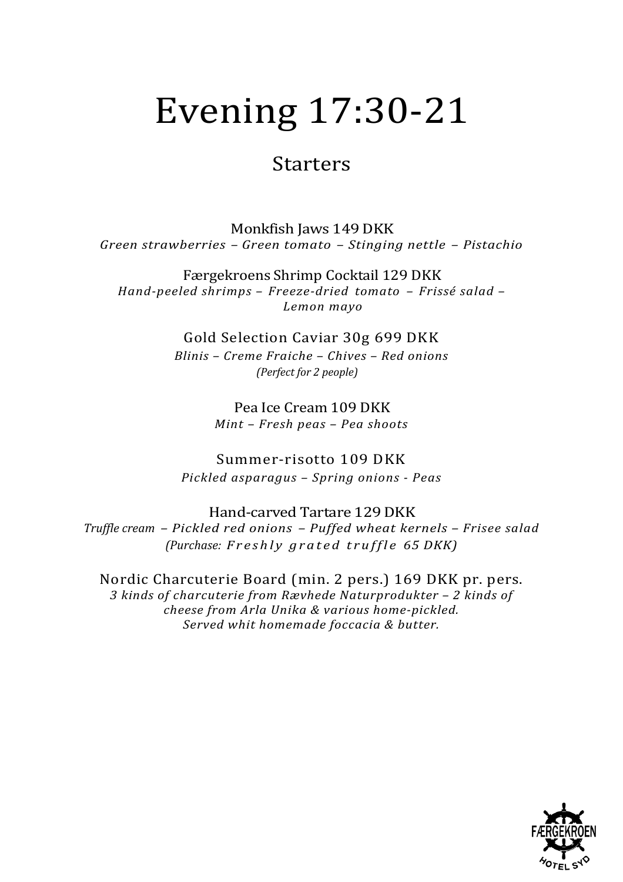# Evening 17:30-21

### Starters

Monkfish Jaws 149 DKK *Green strawberries – Green tomato – Stinging nettle – Pistachio*

Færgekroens Shrimp Cocktail 129 DKK *Hand-peeled shrimps – Freeze-dried tomato – Frissé salad – Lemon mayo*

> Gold Selection Caviar 30g 699 DKK *Blinis – Creme Fraiche – Chives – Red onions (Perfect for 2 people)*

> > Pea Ice Cream 109 DKK *Mint – Fresh peas – Pea shoots*

Summer-risotto 109 DKK *Pickled asparagus – Spring onions - Peas*

Hand-carved Tartare 129 DKK *Truffle cream – Pickled red onions – Puffed wheat kernels – Frisee salad (Purchase: Freshly grated truffle 65 DKK)*

Nordic Charcuterie Board (min. 2 pers.) 169 DKK pr. pers. *3 kinds of charcuterie from Rævhede Naturprodukter – 2 kinds of cheese from Arla Unika & various home-pickled. Served whit homemade foccacia & butter.*

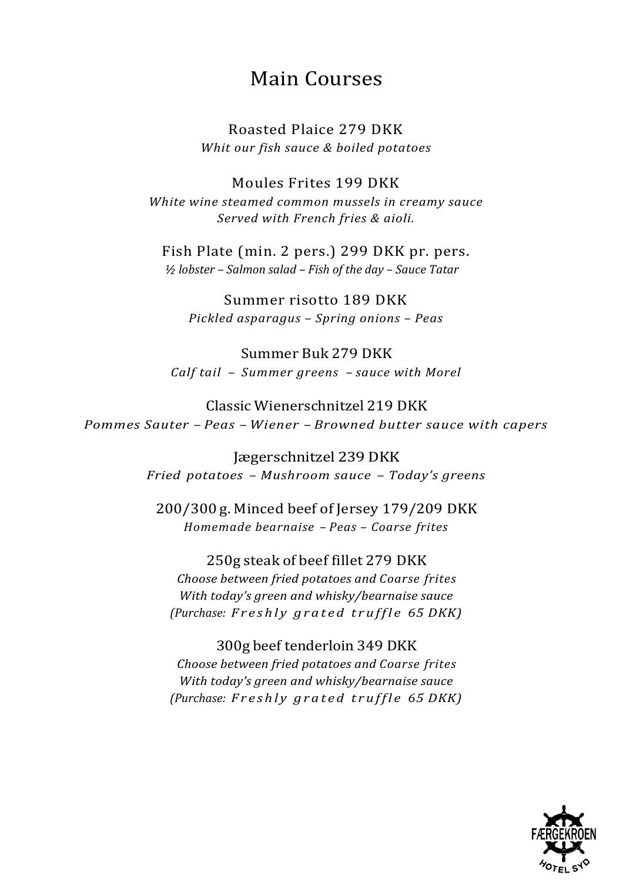## Main Courses

Roasted Plaice 279 DKK *Whit our fish sauce & boiled potatoes* 

Moules Frites 199 DKK White wine steamed common mussels in creamy sauce *Served with French fries & aioli.*

Fish Plate (min. 2 pers.) 299 DKK pr. pers. *½ lobster – Salmon salad – Fish of the day – Sauce Tatar*

Summer risotto 189 DKK *Pickled asparagus – Spring onions – Peas*

Summer Buk 279 DKK *Calf tail – Summer greens – sauce with Morel*

Classic Wienerschnitzel 219 DKK *Pommes Sauter – Peas – Wiener – Browned butter sauce with capers*

> Jægerschnitzel 239 DKK *Fried potatoes – Mushroom sauce – Today's greens*

200/300 g. Minced beef of Jersey 179/209 DKK *Homemade bearnaise – Peas – Coarse frites*

250g steak of beef fillet 279 DKK *Choose between fried potatoes and Coarse frites*  With today's green and whisky/bearnaise sauce *(Purchase: Freshly grated truffle 65 DKK)*

300g beef tenderloin 349 DKK *Choose between fried potatoes and Coarse frites With today's green and whisky/bearnaise sauce (Purchase: Freshly grated truffle 65 DKK)*

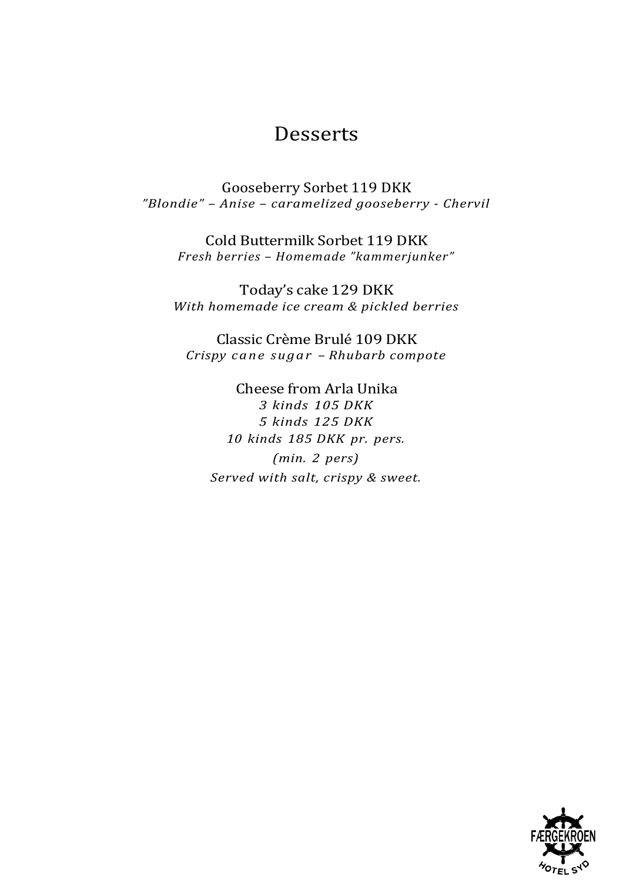### **Desserts**

Gooseberry Sorbet 119 DKK *"Blondie" – Anise – caramelized gooseberry - Chervil*

Cold Buttermilk Sorbet 119 DKK *Fresh berries – Homemade "kammerjunker"*

Today's cake 129 DKK *With homemade ice cream & pickled berries*

Classic Crème Brulé 109 DKK *Crispy cane sugar – Rhubarb compote*

Cheese from Arla Unika *3 kinds 105 DKK 5 kinds 125 DKK 10 kinds 185 DKK pr. pers. (min. 2 pers) Served with salt, crispy & sweet.*

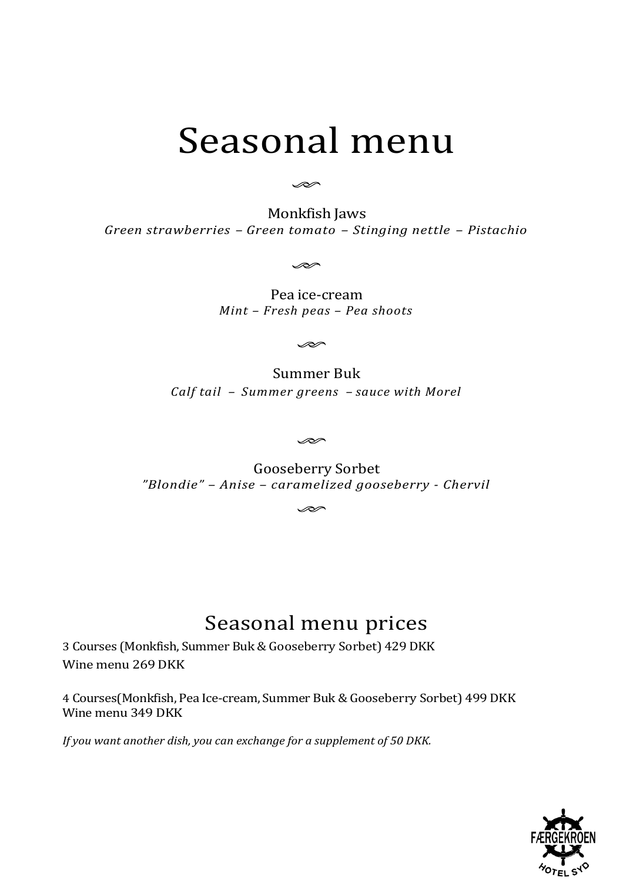## Seasonal menu

D

Monkfish Jaws *Green strawberries – Green tomato – Stinging nettle – Pistachio*

D

Pea ice-cream *Mint – Fresh peas – Pea shoots*

 $\infty$ 

Summer Buk *Calf tail – Summer greens – sauce with Morel*

D

Gooseberry Sorbet *"Blondie" – Anise – caramelized gooseberry - Chervil*

 $\infty$ 

## Seasonal menu prices

3 Courses (Monkfish, Summer Buk & Gooseberry Sorbet) 429 DKK Wine menu 269 DKK

4 Courses(Monkfish, Pea Ice-cream, Summer Buk & Gooseberry Sorbet) 499 DKK Wine menu 349 DKK

*If you want another dish, you can exchange for a supplement of 50 DKK.*